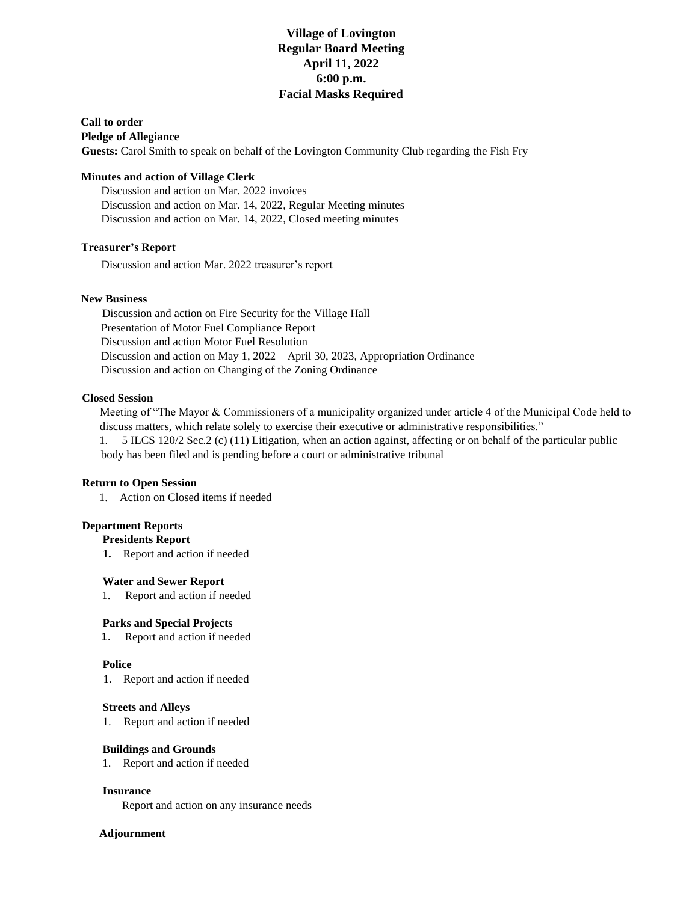### **Village of Lovington Regular Board Meeting April 11, 2022 6:00 p.m. Facial Masks Required**

### **Call to order**

**Pledge of Allegiance** 

**Guests:** Carol Smith to speak on behalf of the Lovington Community Club regarding the Fish Fry

#### **Minutes and action of Village Clerk**

 Discussion and action on Mar. 2022 invoices Discussion and action on Mar. 14, 2022, Regular Meeting minutes Discussion and action on Mar. 14, 2022, Closed meeting minutes

### **Treasurer's Report**

Discussion and action Mar. 2022 treasurer's report

#### **New Business**

Discussion and action on Fire Security for the Village Hall Presentation of Motor Fuel Compliance Report Discussion and action Motor Fuel Resolution Discussion and action on May 1, 2022 – April 30, 2023, Appropriation Ordinance Discussion and action on Changing of the Zoning Ordinance

#### **Closed Session**

 Meeting of "The Mayor & Commissioners of a municipality organized under article 4 of the Municipal Code held to discuss matters, which relate solely to exercise their executive or administrative responsibilities."

 1. 5 ILCS 120/2 Sec.2 (c) (11) Litigation, when an action against, affecting or on behalf of the particular public body has been filed and is pending before a court or administrative tribunal

#### **Return to Open Session**

1. Action on Closed items if needed

#### **Department Reports**

**Presidents Report** 

**1.** Report and action if needed

#### **Water and Sewer Report**

1. Report and action if needed

#### **Parks and Special Projects**

1. Report and action if needed

#### **Police**

1. Report and action if needed

#### **Streets and Alleys**

1. Report and action if needed

#### **Buildings and Grounds**

1. Report and action if needed

#### **Insurance**

Report and action on any insurance needs

#### **Adjournment**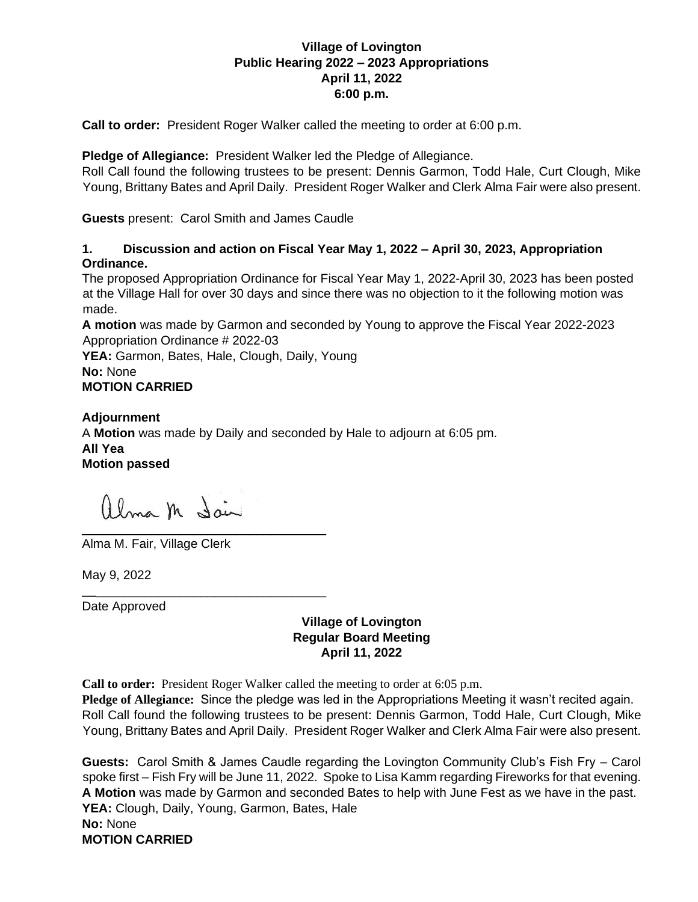## **Village of Lovington Public Hearing 2022 – 2023 Appropriations April 11, 2022 6:00 p.m.**

**Call to order:** President Roger Walker called the meeting to order at 6:00 p.m.

**Pledge of Allegiance:** President Walker led the Pledge of Allegiance.

Roll Call found the following trustees to be present: Dennis Garmon, Todd Hale, Curt Clough, Mike Young, Brittany Bates and April Daily. President Roger Walker and Clerk Alma Fair were also present.

**Guests** present: Carol Smith and James Caudle

## **1. Discussion and action on Fiscal Year May 1, 2022 – April 30, 2023, Appropriation Ordinance.**

The proposed Appropriation Ordinance for Fiscal Year May 1, 2022-April 30, 2023 has been posted at the Village Hall for over 30 days and since there was no objection to it the following motion was made.

**A motion** was made by Garmon and seconded by Young to approve the Fiscal Year 2022-2023 Appropriation Ordinance # 2022-03

YEA: Garmon, Bates, Hale, Clough, Daily, Young **No:** None **MOTION CARRIED**

**Adjournment** A **Motion** was made by Daily and seconded by Hale to adjourn at 6:05 pm. **All Yea Motion passed**

alma m Sain

**\_\_**\_\_\_\_\_\_\_\_\_\_\_\_\_\_\_\_\_\_\_\_\_\_\_\_\_\_\_\_\_\_\_\_\_

 $\mathcal{L}_\text{max}$  and  $\mathcal{L}_\text{max}$  and  $\mathcal{L}_\text{max}$  and  $\mathcal{L}_\text{max}$ Alma M. Fair, Village Clerk

May 9, 2022

Date Approved

**Village of Lovington Regular Board Meeting April 11, 2022**

**Call to order:** President Roger Walker called the meeting to order at 6:05 p.m.

**Pledge of Allegiance:** Since the pledge was led in the Appropriations Meeting it wasn't recited again. Roll Call found the following trustees to be present: Dennis Garmon, Todd Hale, Curt Clough, Mike Young, Brittany Bates and April Daily. President Roger Walker and Clerk Alma Fair were also present.

**Guests:** Carol Smith & James Caudle regarding the Lovington Community Club's Fish Fry – Carol spoke first – Fish Fry will be June 11, 2022. Spoke to Lisa Kamm regarding Fireworks for that evening. **A Motion** was made by Garmon and seconded Bates to help with June Fest as we have in the past. **YEA:** Clough, Daily, Young, Garmon, Bates, Hale **No:** None **MOTION CARRIED**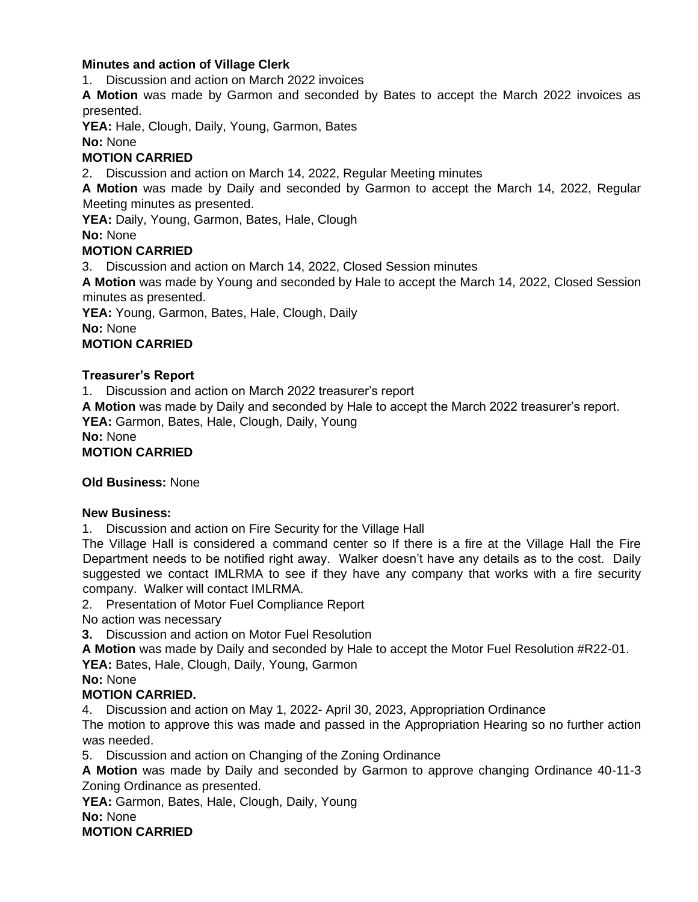## **Minutes and action of Village Clerk**

1. Discussion and action on March 2022 invoices

**A Motion** was made by Garmon and seconded by Bates to accept the March 2022 invoices as presented.

**YEA:** Hale, Clough, Daily, Young, Garmon, Bates

**No:** None

# **MOTION CARRIED**

2. Discussion and action on March 14, 2022, Regular Meeting minutes

**A Motion** was made by Daily and seconded by Garmon to accept the March 14, 2022, Regular Meeting minutes as presented.

YEA: Daily, Young, Garmon, Bates, Hale, Clough

**No:** None

# **MOTION CARRIED**

3. Discussion and action on March 14, 2022, Closed Session minutes

**A Motion** was made by Young and seconded by Hale to accept the March 14, 2022, Closed Session minutes as presented.

**YEA:** Young, Garmon, Bates, Hale, Clough, Daily

**No:** None

## **MOTION CARRIED**

## **Treasurer's Report**

1. Discussion and action on March 2022 treasurer's report

**A Motion** was made by Daily and seconded by Hale to accept the March 2022 treasurer's report.

**YEA:** Garmon, Bates, Hale, Clough, Daily, Young

**No:** None

**MOTION CARRIED**

# **Old Business:** None

## **New Business:**

1. Discussion and action on Fire Security for the Village Hall

The Village Hall is considered a command center so If there is a fire at the Village Hall the Fire Department needs to be notified right away. Walker doesn't have any details as to the cost. Daily suggested we contact IMLRMA to see if they have any company that works with a fire security company. Walker will contact IMLRMA.

2. Presentation of Motor Fuel Compliance Report

No action was necessary

**3.** Discussion and action on Motor Fuel Resolution

**A Motion** was made by Daily and seconded by Hale to accept the Motor Fuel Resolution #R22-01.

**YEA:** Bates, Hale, Clough, Daily, Young, Garmon

**No:** None

## **MOTION CARRIED.**

4. Discussion and action on May 1, 2022- April 30, 2023, Appropriation Ordinance

The motion to approve this was made and passed in the Appropriation Hearing so no further action was needed.

5. Discussion and action on Changing of the Zoning Ordinance

**A Motion** was made by Daily and seconded by Garmon to approve changing Ordinance 40-11-3 Zoning Ordinance as presented.

YEA: Garmon, Bates, Hale, Clough, Daily, Young

**No:** None

**MOTION CARRIED**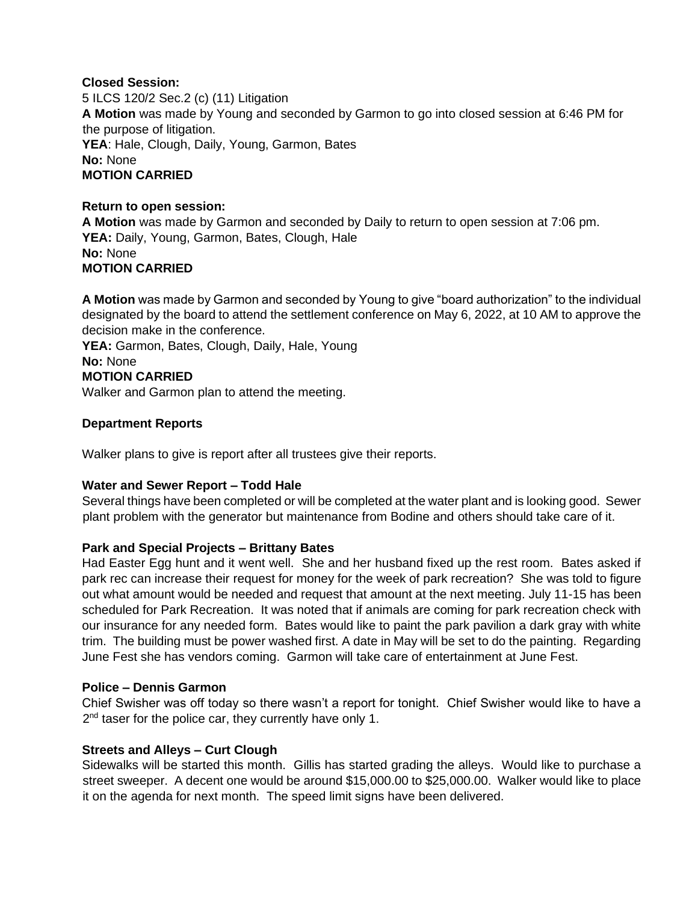## **Closed Session:**

5 ILCS 120/2 Sec.2 (c) (11) Litigation **A Motion** was made by Young and seconded by Garmon to go into closed session at 6:46 PM for the purpose of litigation. **YEA**: Hale, Clough, Daily, Young, Garmon, Bates **No:** None **MOTION CARRIED**

## **Return to open session:**

**A Motion** was made by Garmon and seconded by Daily to return to open session at 7:06 pm. YEA: Daily, Young, Garmon, Bates, Clough, Hale **No:** None **MOTION CARRIED**

**A Motion** was made by Garmon and seconded by Young to give "board authorization" to the individual designated by the board to attend the settlement conference on May 6, 2022, at 10 AM to approve the decision make in the conference.

YEA: Garmon, Bates, Clough, Daily, Hale, Young **No:** None **MOTION CARRIED** Walker and Garmon plan to attend the meeting.

# **Department Reports**

Walker plans to give is report after all trustees give their reports.

# **Water and Sewer Report – Todd Hale**

Several things have been completed or will be completed at the water plant and is looking good. Sewer plant problem with the generator but maintenance from Bodine and others should take care of it.

## **Park and Special Projects – Brittany Bates**

Had Easter Egg hunt and it went well. She and her husband fixed up the rest room. Bates asked if park rec can increase their request for money for the week of park recreation? She was told to figure out what amount would be needed and request that amount at the next meeting. July 11-15 has been scheduled for Park Recreation. It was noted that if animals are coming for park recreation check with our insurance for any needed form. Bates would like to paint the park pavilion a dark gray with white trim. The building must be power washed first. A date in May will be set to do the painting. Regarding June Fest she has vendors coming. Garmon will take care of entertainment at June Fest.

## **Police – Dennis Garmon**

Chief Swisher was off today so there wasn't a report for tonight. Chief Swisher would like to have a 2<sup>nd</sup> taser for the police car, they currently have only 1.

# **Streets and Alleys – Curt Clough**

Sidewalks will be started this month. Gillis has started grading the alleys. Would like to purchase a street sweeper. A decent one would be around \$15,000.00 to \$25,000.00. Walker would like to place it on the agenda for next month. The speed limit signs have been delivered.